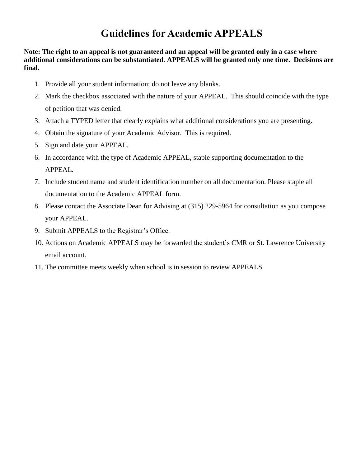## **Guidelines for Academic APPEALS**

**Note: The right to an appeal is not guaranteed and an appeal will be granted only in a case where additional considerations can be substantiated. APPEALS will be granted only one time. Decisions are final.**

- 1. Provide all your student information; do not leave any blanks.
- 2. Mark the checkbox associated with the nature of your APPEAL. This should coincide with the type of petition that was denied.
- 3. Attach a TYPED letter that clearly explains what additional considerations you are presenting.
- 4. Obtain the signature of your Academic Advisor. This is required.
- 5. Sign and date your APPEAL.
- 6. In accordance with the type of Academic APPEAL, staple supporting documentation to the APPEAL.
- 7. Include student name and student identification number on all documentation. Please staple all documentation to the Academic APPEAL form.
- 8. Please contact the Associate Dean for Advising at (315) 229-5964 for consultation as you compose your APPEAL.
- 9. Submit APPEALS to the Registrar's Office.
- 10. Actions on Academic APPEALS may be forwarded the student's CMR or St. Lawrence University email account.
- 11. The committee meets weekly when school is in session to review APPEALS.